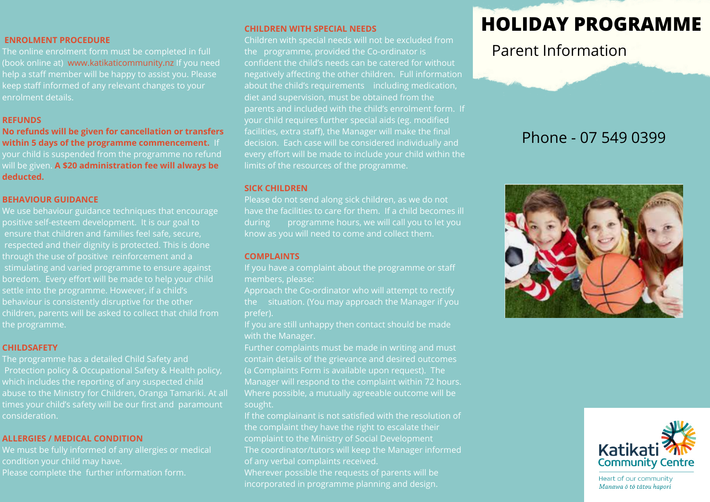## **ENROLMENT PROCEDURE**

The online enrolment form must be completed in full (book online at) www.katikaticommunity.nz If you need help a staff member will be happy to assist you. Please keep staff informed of any relevant changes to your enrolment details.

## **REFUNDS**

**No refunds will be given for cancellation or transfers within 5 days of the programme commencement.** If your child is suspended from the programme no refund will be given. **A \$20 administration fee will always be deducted.**

## **BEHAVIOUR GUIDANCE**

We use behaviour guidance techniques that encourage positive self-esteem development. It is our goal to ensure that children and families feel safe, secure, respected and their dignity is protected. This is done through the use of positive reinforcement and a stimulating and varied programme to ensure against boredom. Every effort will be made to help your child settle into the programme. However, if a child's children, parents will be asked to collect that child from the programme.

## **CHILDSAFETY**

The programme has a detailed Child Safety and Protection policy & Occupational Safety & Health policy, which includes the reporting of any suspected child abuse to the Ministry for Children, Oranga Tamariki. At all times your child's safety will be our first and paramount consideration.

## **ALLERGIES / MEDICAL CONDITION**

We must be fully informed of any allergies or medical Please complete the further information form.

## **CHILDREN WITH SPECIAL NEEDS**

Children with special needs will not be excluded from the programme, provided the Co-ordinator is confident the child's needs can be catered for without negatively affecting the other children. Full information about the child's requirements including medication, diet and supervision, must be obtained from the parents and included with the child's enrolment form. If your child requires further special aids (eg. modified facilities, extra staff), the Manager will make the final decision. Each case will be considered individually and every effort will be made to include your child within the limits of the resources of the programme.

### **SICK CHILDREN**

Please do not send along sick children, as we do not have the facilities to care for them. If a child becomes ill during programme hours, we will call you to let you

## **COMPLAINTS**

If you have a complaint about the programme or staff members, please:

Approach the Co-ordinator who will attempt to rectify the situation. (You may approach the Manager if you prefer).

If you are still unhappy then contact should be made with the Manager.

Further complaints must be made in writing and must contain details of the grievance and desired outcomes (a Complaints Form is available upon request). The Manager will respond to the complaint within 72 hours. Where possible, a mutually agreeable outcome will be sought.

If the complainant is not satisfied with the resolution of the complaint they have the right to escalate their complaint to the Ministry of Social Development The coordinator/tutors will keep the Manager informed of any verbal complaints received.

Wherever possible the requests of parents will be incorporated in programme planning and design.

## **HOLIDAY PROGRAMME**

Parent Information

## Phone - 07 549 0399





Heart of our community Manawa ō tō tātou hapori